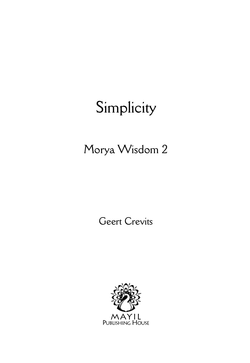# Morya Wisdom 2

Geert Crevits

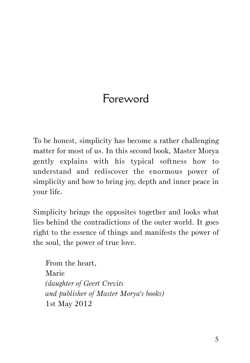# Foreword

To be honest, simplicity has become a rather challenging matter for most of us. In this second book, Master Morya gently explains with his typical softness how to understand and rediscover the enormous power of simplicity and how to bring joy, depth and inner peace in your life.

Simplicity brings the opposites together and looks what lies behind the contradictions of the outer world. It goes right to the essence of things and manifests the power of the soul, the power of true love.

From the heart, Marie *(daughter of Geert Crevits and publisher of Master Morya's books)* 1st May 2012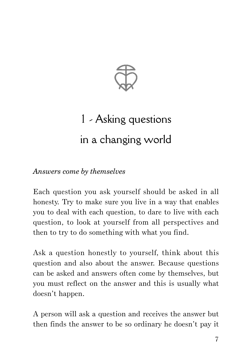

# 1 - Asking questions in a changing world

*Answers come by themselves*

Each question you ask yourself should be asked in all honesty. Try to make sure you live in a way that enables you to deal with each question, to dare to live with each question, to look at yourself from all perspectives and then to try to do something with what you find.

Ask a question honestly to yourself, think about this question and also about the answer. Because questions can be asked and answers often come by themselves, but you must reflect on the answer and this is usually what doesn't happen.

A person will ask a question and receives the answer but then finds the answer to be so ordinary he doesn't pay it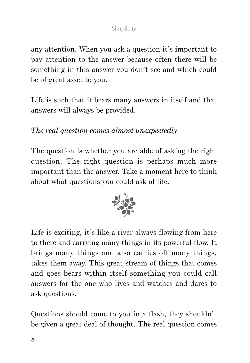any attention. When you ask a question it's important to pay attention to the answer because often there will be something in this answer you don't see and which could be of great asset to you.

Life is such that it bears many answers in itself and that answers will always be provided.

# *The real question comes almost unexpectedly*

The question is whether you are able of asking the right question. The right question is perhaps much more important than the answer. Take a moment here to think about what questions you could ask of life.



Life is exciting, it's like a river always flowing from here to there and carrying many things in its powerful flow. It brings many things and also carries off many things, takes them away. This great stream of things that comes and goes bears within itself something you could call answers for the one who lives and watches and dares to ask questions.

Questions should come to you in a flash, they shouldn't be given a great deal of thought. The real question comes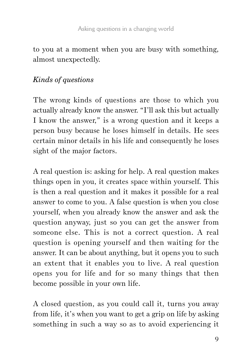to you at a moment when you are busy with something, almost unexpectedly.

# *Kinds of questions*

The wrong kinds of questions are those to which you actually already know the answer. "I'll ask this but actually I know the answer," is a wrong question and it keeps a person busy because he loses himself in details. He sees certain minor details in his life and consequently he loses sight of the major factors.

A real question is: asking for help. A real question makes things open in you, it creates space within yourself. This is then a real question and it makes it possible for a real answer to come to you. A false question is when you close yourself, when you already know the answer and ask the question anyway, just so you can get the answer from someone else. This is not a correct question. A real question is opening yourself and then waiting for the answer. It can be about anything, but it opens you to such an extent that it enables you to live. A real question opens you for life and for so many things that then become possible in your own life.

A closed question, as you could call it, turns you away from life, it's when you want to get a grip on life by asking something in such a way so as to avoid experiencing it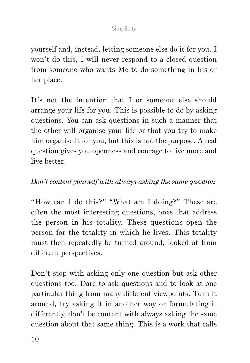yourself and, instead, letting someone else do it for you. I won't do this, I will never respond to a closed question from someone who wants Me to do something in his or her place.

It's not the intention that I or someone else should arrange your life for you. This is possible to do by asking questions. You can ask questions in such a manner that the other will organise your life or that you try to make him organise it for you, but this is not the purpose. A real question gives you openness and courage to live more and live better.

### *Don't content yourself with always asking the same question*

"How can I do this?" "What am I doing?" These are often the most interesting questions, ones that address the person in his totality. These questions open the person for the totality in which he lives. This totality must then repeatedly be turned around, looked at from different perspectives.

Don't stop with asking only one question but ask other questions too. Dare to ask questions and to look at one particular thing from many different viewpoints. Turn it around, try asking it in another way or formulating it differently, don't be content with always asking the same question about that same thing. This is a work that calls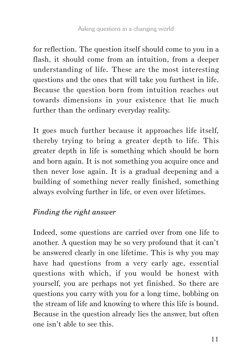for reflection. The question itself should come to you in a flash, it should come from an intuition, from a deeper understanding of life. These are the most interesting questions and the ones that will take you furthest in life. Because the question born from intuition reaches out towards dimensions in your existence that lie much further than the ordinary everyday reality.

It goes much further because it approaches life itself, thereby trying to bring a greater depth to life. This greater depth in life is something which should be born and born again. It is not something you acquire once and then never lose again. It is a gradual deepening and a building of something never really finished, something always evolving further in life, or even over lifetimes.

# *Finding the right answer*

Indeed, some questions are carried over from one life to another. A question may be so very profound that it can't be answered clearly in one lifetime. This is why you may have had questions from a very early age, essential questions with which, if you would be honest with yourself, you are perhaps not yet finished. So there are questions you carry with you for a long time, bobbing on the stream of life and knowing to where this life is bound. Because in the question already lies the answer, but often one isn't able to see this.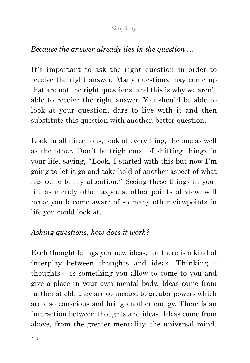## *Because the answer already lies in the question …*

It's important to ask the right question in order to receive the right answer. Many questions may come up that are not the right questions, and this is why we aren't able to receive the right answer. You should be able to look at your question, dare to live with it and then substitute this question with another, better question.

Look in all directions, look at everything, the one as well as the other. Don't be frightened of shifting things in your life, saying, "Look, I started with this but now I'm going to let it go and take hold of another aspect of what has come to my attention." Seeing these things in your life as merely other aspects, other points of view, will make you become aware of so many other viewpoints in life you could look at.

## *Asking questions, how does it work?*

Each thought brings you new ideas, for there is a kind of interplay between thoughts and ideas. Thinking – thoughts – is something you allow to come to you and give a place in your own mental body. Ideas come from further afield, they are connected to greater powers which are also conscious and bring another energy. There is an interaction between thoughts and ideas. Ideas come from above, from the greater mentality, the universal mind,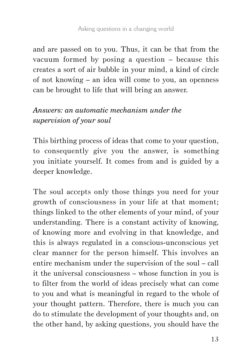and are passed on to you. Thus, it can be that from the vacuum formed by posing a question – because this creates a sort of air bubble in your mind, a kind of circle of not knowing – an idea will come to you, an openness can be brought to life that will bring an answer.

# *Answers: an automatic mechanism under the supervision of your soul*

This birthing process of ideas that come to your question, to consequently give you the answer, is something you initiate yourself. It comes from and is guided by a deeper knowledge.

The soul accepts only those things you need for your growth of consciousness in your life at that moment; things linked to the other elements of your mind, of your understanding. There is a constant activity of knowing, of knowing more and evolving in that knowledge, and this is always regulated in a conscious-unconscious yet clear manner for the person himself. This involves an entire mechanism under the supervision of the soul – call it the universal consciousness – whose function in you is to filter from the world of ideas precisely what can come to you and what is meaningful in regard to the whole of your thought pattern. Therefore, there is much you can do to stimulate the development of your thoughts and, on the other hand, by asking questions, you should have the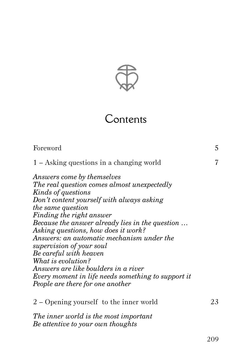

# Contents

| Foreword                                                                                                                                                                                                                                                                                                                                                                                                                                                                                                                                                  | 5  |
|-----------------------------------------------------------------------------------------------------------------------------------------------------------------------------------------------------------------------------------------------------------------------------------------------------------------------------------------------------------------------------------------------------------------------------------------------------------------------------------------------------------------------------------------------------------|----|
| $1 -$ Asking questions in a changing world                                                                                                                                                                                                                                                                                                                                                                                                                                                                                                                | 7  |
| Answers come by themselves<br>The real question comes almost unexpectedly<br>Kinds of questions<br>Don't content yourself with always asking<br><i>the same question</i><br>Finding the right answer<br>Because the answer already lies in the question<br>Asking questions, how does it work?<br>Answers: an automatic mechanism under the<br>supervision of your soul<br>Be careful with heaven<br>What is evolution?<br>Answers are like boulders in a river<br>Every moment in life needs something to support it<br>People are there for one another |    |
| 2 – Opening yourself to the inner world                                                                                                                                                                                                                                                                                                                                                                                                                                                                                                                   | 23 |
| The inner world is the most important<br>Be attentive to your own thoughts                                                                                                                                                                                                                                                                                                                                                                                                                                                                                |    |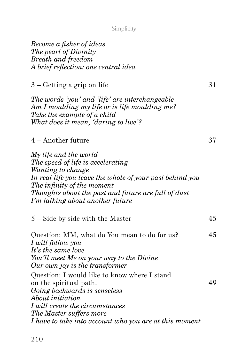| Become a fisher of ideas             |
|--------------------------------------|
| The pearl of Divinity                |
| Breath and freedom                   |
| A brief reflection: one central idea |
|                                      |

 $3 -$  Getting a grip on life  $31$ 

*The words 'you' and 'life' are interchangeable Am I moulding my life or is life moulding me? Take the example of a child What does it mean, 'daring to live'?*

## 4 – Another future 37

| My life and the world                                    |
|----------------------------------------------------------|
| The speed of life is accelerating                        |
| Wanting to change                                        |
| In real life you leave the whole of your past behind you |
| The infinity of the moment                               |
| Thoughts about the past and future are full of dust      |
| I'm talking about another future                         |

5 – Side by side with the Master 45

| Question: MM, what do You mean to do for us?           | 45 |
|--------------------------------------------------------|----|
| I will follow you                                      |    |
| It's the same love                                     |    |
| You'll meet Me on your way to the Divine               |    |
| Our own joy is the transformer                         |    |
| Question: I would like to know where I stand           |    |
| on the spiritual path.                                 | 49 |
| Going backwards is senseless                           |    |
| About initiation                                       |    |
| I will create the circumstances                        |    |
| The Master suffers more                                |    |
| I have to take into account who you are at this moment |    |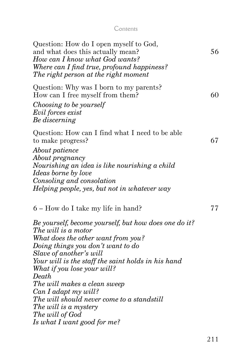|  | . . |
|--|-----|

| Question: How do I open myself to God,<br>and what does this actually mean?<br>How can I know what God wants?<br>Where can I find true, profound happiness?<br>The right person at the right moment                                                                                                                                                                                                                                                                                                     | 56 |
|---------------------------------------------------------------------------------------------------------------------------------------------------------------------------------------------------------------------------------------------------------------------------------------------------------------------------------------------------------------------------------------------------------------------------------------------------------------------------------------------------------|----|
| Question: Why was I born to my parents?<br>How can I free myself from them?<br>Choosing to be yourself<br>Evil forces exist<br>Be discerning                                                                                                                                                                                                                                                                                                                                                            | 60 |
| Question: How can I find what I need to be able<br>to make progress?<br>About patience<br>About pregnancy<br>Nourishing an idea is like nourishing a child<br>Ideas borne by love<br>Consoling and consolation<br>Helping people, yes, but not in whatever way                                                                                                                                                                                                                                          | 67 |
| 6 – How do I take my life in hand?<br>Be yourself, become yourself, but how does one do it?<br>The will is a motor<br>What does the other want from you?<br>Doing things you don't want to do<br>Slave of another's will<br>Your will is the staff the saint holds in his hand<br>What if you lose your will?<br>Death<br>The will makes a clean sweep<br>Can I adapt my will?<br>The will should never come to a standstill<br>The will is a mystery<br>The will of God<br>Is what I want good for me? | 77 |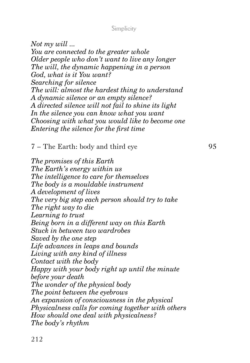*Not my will ... You are connected to the greater whole Older people who don't want to live any longer The will, the dynamic happening in a person God, what is it You want? Searching for silence The will: almost the hardest thing to understand A dynamic silence or an empty silence? A directed silence will not fail to shine its light In the silence you can know what you want Choosing with what you would like to become one Entering the silence for the first time*

7 – The Earth: body and third eye 95

*The promises of this Earth The Earth's energy within us The intelligence to care for themselves The body is a mouldable instrument A development of lives The very big step each person should try to take The right way to die Learning to trust Being born in a different way on this Earth Stuck in between two wardrobes Saved by the one step Life advances in leaps and bounds Living with any kind of illness Contact with the body Happy with your body right up until the minute before your death The wonder of the physical body The point between the eyebrows An expansion of consciousness in the physical Physicalness calls for coming together with others How should one deal with physicalness? The body's rhythm*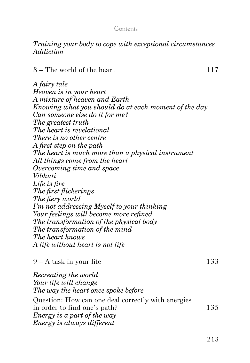#### Contents

#### *Training your body to cope with exceptional circumstances Addiction*

 $8 -$ The world of the heart 117

*A fairy tale Heaven is in your heart A mixture of heaven and Earth Knowing what you should do at each moment of the day Can someone else do it for me? The greatest truth The heart is revelational There is no other centre A first step on the path The heart is much more than a physical instrument All things come from the heart Overcoming time and space Vibhuti Life is fire The first flickerings The fiery world I'm not addressing Myself to your thinking Your feelings will become more refined The transformation of the physical body The transformation of the mind The heart knows A life without heart is not life*

 $9 - A$  task in your life 133

| Recreating the world                               |     |
|----------------------------------------------------|-----|
| Your life will change                              |     |
| The way the heart once spoke before                |     |
| Question: How can one deal correctly with energies |     |
| in order to find one's path?                       | 135 |
| Energy is a part of the way                        |     |
| Energy is always different                         |     |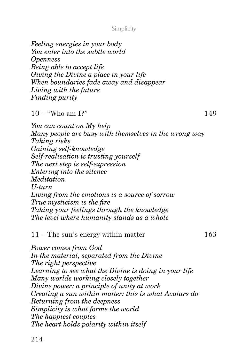*Feeling energies in your body You enter into the subtle world*

*Openness Being able to accept life Giving the Divine a place in your life When boundaries fade away and disappear Living with the future Finding purity*  $10 -$  "Who am I?" 149 *You can count on My help Many people are busy with themselves in the wrong way Taking risks Gaining self-knowledge Self-realisation is trusting yourself The next step is self-expression Entering into the silence Meditation U-turn Living from the emotions is a source of sorrow True mysticism is the fire Taking your feelings through the knowledge The level where humanity stands as a whole* 11 – The sun's energy within matter 163 *Power comes from God In the material, separated from the Divine*

*The right perspective Learning to see what the Divine is doing in your life Many worlds working closely together Divine power: a principle of unity at work Creating a sun within matter: this is what Avatars do Returning from the deepness Simplicity is what forms the world The happiest couples The heart holds polarity within itself*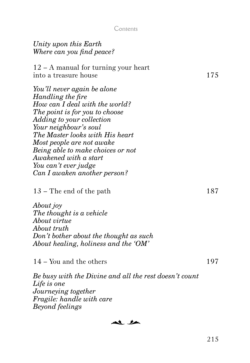#### Contents

| Unity upon this Earth<br>Where can you find peace?                                                                                                                                                                                                                                                                                                               |     |
|------------------------------------------------------------------------------------------------------------------------------------------------------------------------------------------------------------------------------------------------------------------------------------------------------------------------------------------------------------------|-----|
| 12 – A manual for turning your heart<br>into a treasure house                                                                                                                                                                                                                                                                                                    | 175 |
| You'll never again be alone<br>Handling the fire<br>How can I deal with the world?<br>The point is for you to choose<br>Adding to your collection<br>Your neighbour's soul<br>The Master looks with His heart<br>Most people are not awake<br>Being able to make choices or not<br>Awakened with a start<br>You can't ever judge<br>Can I awaken another person? |     |
| $13$ – The end of the path                                                                                                                                                                                                                                                                                                                                       | 187 |
| About joy<br>The thought is a vehicle<br>About virtue<br>About truth<br>Don't bother about the thought as such<br>About healing, holiness and the 'OM'                                                                                                                                                                                                           |     |
| 14 – You and the others                                                                                                                                                                                                                                                                                                                                          | 197 |
| Be busy with the Divine and all the rest doesn't count<br>Life is one<br>Journeying together<br>Fragile: handle with care<br>Beyond feelings                                                                                                                                                                                                                     |     |

al la